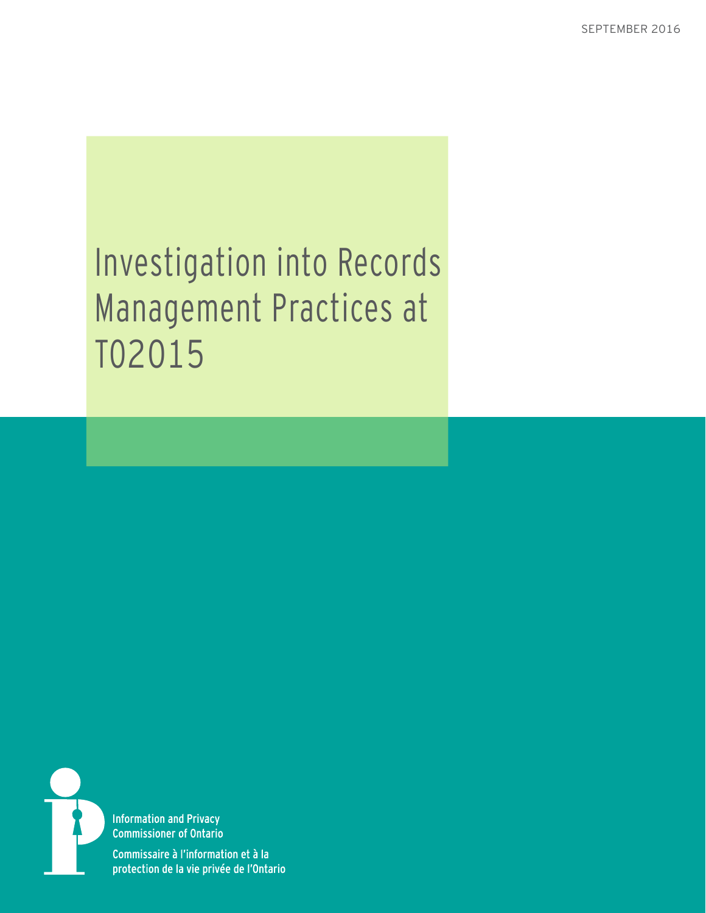# Investigation into Records Management Practices at TO2015



**Information and Privacy Commissioner of Ontario** 

Commissaire à l'information et à la protection de la vie privée de l'Ontario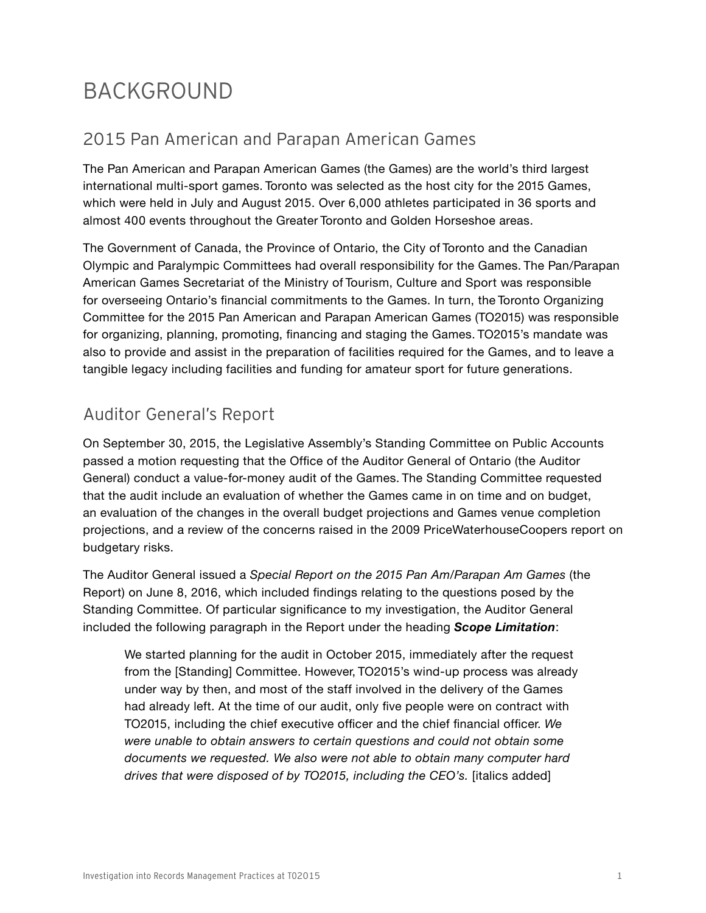# BACKGROUND

### 2015 Pan American and Parapan American Games

The Pan American and Parapan American Games (the Games) are the world's third largest international multi-sport games. Toronto was selected as the host city for the 2015 Games, which were held in July and August 2015. Over 6,000 athletes participated in 36 sports and almost 400 events throughout the Greater Toronto and Golden Horseshoe areas.

The Government of Canada, the Province of Ontario, the City of Toronto and the Canadian Olympic and Paralympic Committees had overall responsibility for the Games. The Pan/Parapan American Games Secretariat of the Ministry of Tourism, Culture and Sport was responsible for overseeing Ontario's financial commitments to the Games. In turn, the Toronto Organizing Committee for the 2015 Pan American and Parapan American Games (TO2015) was responsible for organizing, planning, promoting, financing and staging the Games. TO2015's mandate was also to provide and assist in the preparation of facilities required for the Games, and to leave a tangible legacy including facilities and funding for amateur sport for future generations.

## Auditor General's Report

On September 30, 2015, the Legislative Assembly's Standing Committee on Public Accounts passed a motion requesting that the Office of the Auditor General of Ontario (the Auditor General) conduct a value-for-money audit of the Games. The Standing Committee requested that the audit include an evaluation of whether the Games came in on time and on budget, an evaluation of the changes in the overall budget projections and Games venue completion projections, and a review of the concerns raised in the 2009 PriceWaterhouseCoopers report on budgetary risks.

The Auditor General issued a *Special Report on the 2015 Pan Am/Parapan Am Games* (the Report) on June 8, 2016, which included findings relating to the questions posed by the Standing Committee. Of particular significance to my investigation, the Auditor General included the following paragraph in the Report under the heading *Scope Limitation*:

We started planning for the audit in October 2015, immediately after the request from the [Standing] Committee. However, TO2015's wind-up process was already under way by then, and most of the staff involved in the delivery of the Games had already left. At the time of our audit, only five people were on contract with TO2015, including the chief executive officer and the chief financial officer. *We were unable to obtain answers to certain questions and could not obtain some documents we requested. We also were not able to obtain many computer hard drives that were disposed of by TO2015, including the CEO's.* [italics added]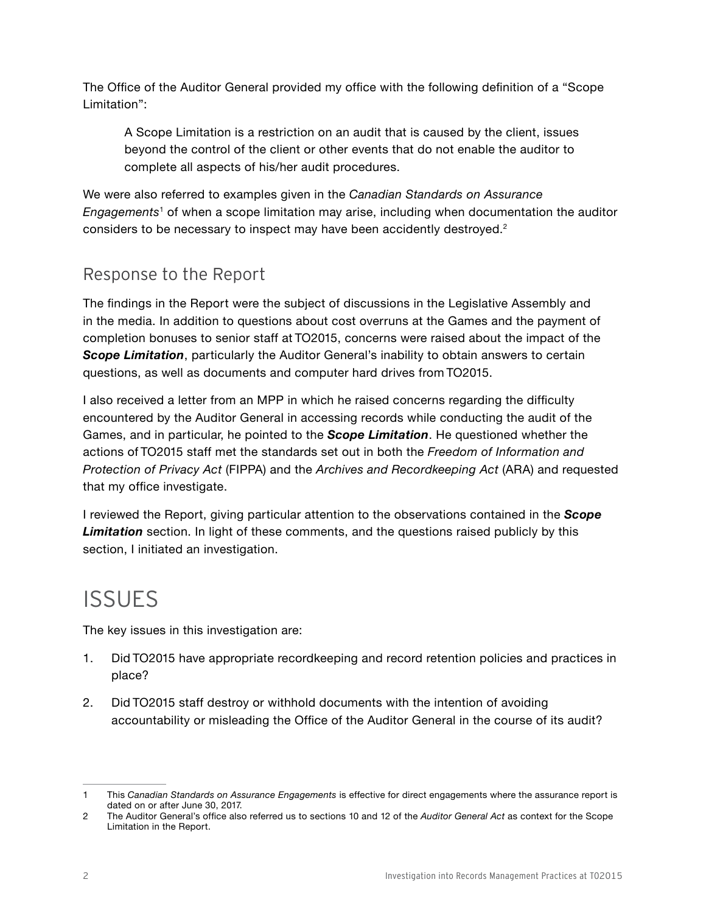The Office of the Auditor General provided my office with the following definition of a "Scope Limitation":

A Scope Limitation is a restriction on an audit that is caused by the client, issues beyond the control of the client or other events that do not enable the auditor to complete all aspects of his/her audit procedures.

We were also referred to examples given in the *Canadian Standards on Assurance Engagements*1 of when a scope limitation may arise, including when documentation the auditor considers to be necessary to inspect may have been accidently destroyed.<sup>2</sup>

### Response to the Report

The findings in the Report were the subject of discussions in the Legislative Assembly and in the media. In addition to questions about cost overruns at the Games and the payment of completion bonuses to senior staff at TO2015, concerns were raised about the impact of the **Scope Limitation**, particularly the Auditor General's inability to obtain answers to certain questions, as well as documents and computer hard drives from TO2015.

I also received a letter from an MPP in which he raised concerns regarding the difficulty encountered by the Auditor General in accessing records while conducting the audit of the Games, and in particular, he pointed to the *Scope Limitation*. He questioned whether the actions of TO2015 staff met the standards set out in both the *Freedom of Information and Protection of Privacy Act* (FIPPA) and the *Archives and Recordkeeping Act* (ARA) and requested that my office investigate.

I reviewed the Report, giving particular attention to the observations contained in the *Scope Limitation* section. In light of these comments, and the questions raised publicly by this section, I initiated an investigation.

# **ISSUES**

The key issues in this investigation are:

- 1. Did TO2015 have appropriate recordkeeping and record retention policies and practices in place?
- 2. Did TO2015 staff destroy or withhold documents with the intention of avoiding accountability or misleading the Office of the Auditor General in the course of its audit?

<sup>1</sup> This *Canadian Standards on Assurance Engagements* is effective for direct engagements where the assurance report is dated on or after June 30, 2017.

<sup>2</sup> The Auditor General's office also referred us to sections 10 and 12 of the *Auditor General Act* as context for the Scope Limitation in the Report.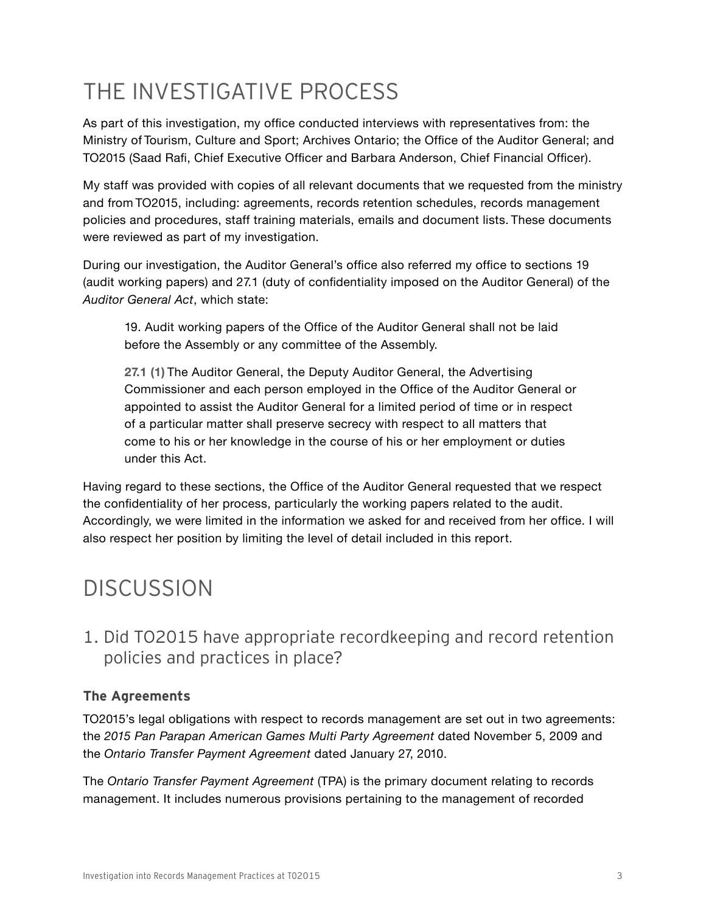# THE INVESTIGATIVE PROCESS

As part of this investigation, my office conducted interviews with representatives from: the Ministry of Tourism, Culture and Sport; Archives Ontario; the Office of the Auditor General; and TO2015 (Saad Rafi, Chief Executive Officer and Barbara Anderson, Chief Financial Officer).

My staff was provided with copies of all relevant documents that we requested from the ministry and from TO2015, including: agreements, records retention schedules, records management policies and procedures, staff training materials, emails and document lists. These documents were reviewed as part of my investigation.

During our investigation, the Auditor General's office also referred my office to sections 19 (audit working papers) and 27.1 (duty of confidentiality imposed on the Auditor General) of the *Auditor General Act*, which state:

[19.](http://www.ontario.ca/fr/lois/loi/90a35) Audit working papers of the Office of the Auditor General shall not be laid before the Assembly or any committee of the Assembly.

**27.1 (1)** The Auditor General, the Deputy Auditor General, the Advertising Commissioner and each person employed in the Office of the Auditor General or appointed to assist the Auditor General for a limited period of time or in respect of a particular matter shall preserve secrecy with respect to all matters that come to his or her knowledge in the course of his or her employment or duties under this Act.

Having regard to these sections, the Office of the Auditor General requested that we respect the confidentiality of her process, particularly the working papers related to the audit. Accordingly, we were limited in the information we asked for and received from her office. I will also respect her position by limiting the level of detail included in this report.

# **DISCUSSION**

### 1. Did TO2015 have appropriate recordkeeping and record retention policies and practices in place?

#### **The Agreements**

TO2015's legal obligations with respect to records management are set out in two agreements: the *2015 Pan Parapan American Games Multi Party Agreement* dated November 5, 2009 and the *Ontario Transfer Payment Agreement* dated January 27, 2010.

The *Ontario Transfer Payment Agreement* (TPA) is the primary document relating to records management. It includes numerous provisions pertaining to the management of recorded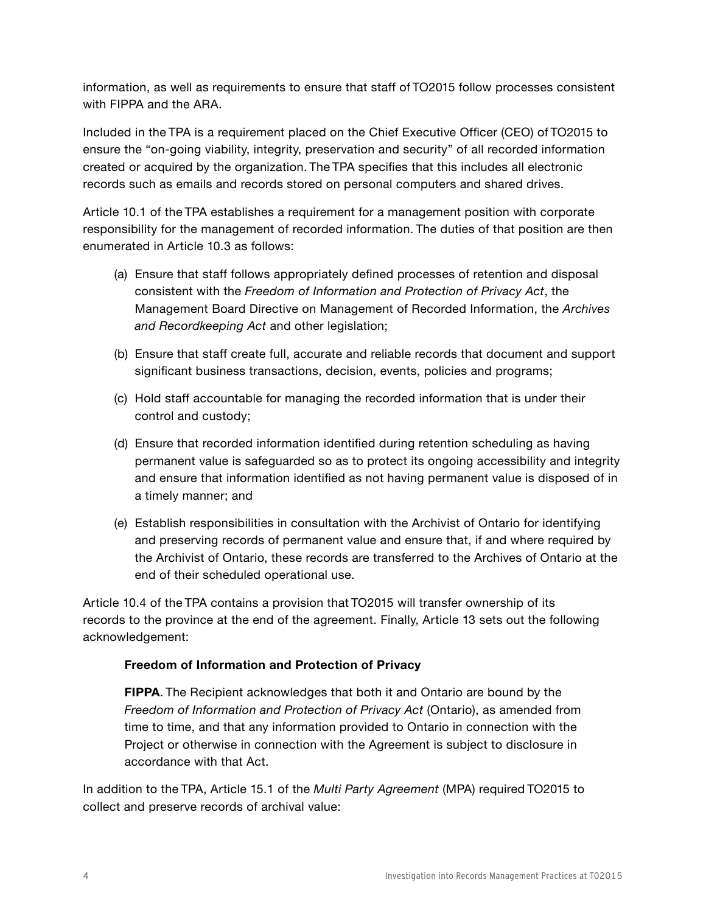information, as well as requirements to ensure that staff of TO2015 follow processes consistent with FIPPA and the ARA.

Included in the TPA is a requirement placed on the Chief Executive Officer (CEO) of TO2015 to ensure the "on-going viability, integrity, preservation and security" of all recorded information created or acquired by the organization. The TPA specifies that this includes all electronic records such as emails and records stored on personal computers and shared drives.

Article 10.1 of the TPA establishes a requirement for a management position with corporate responsibility for the management of recorded information. The duties of that position are then enumerated in Article 10.3 as follows:

- (a) Ensure that staff follows appropriately defined processes of retention and disposal consistent with the *Freedom of Information and Protection of Privacy Act*, the Management Board Directive on Management of Recorded Information, the *Archives and Recordkeeping Act* and other legislation;
- (b) Ensure that staff create full, accurate and reliable records that document and support significant business transactions, decision, events, policies and programs;
- (c) Hold staff accountable for managing the recorded information that is under their control and custody;
- (d) Ensure that recorded information identified during retention scheduling as having permanent value is safeguarded so as to protect its ongoing accessibility and integrity and ensure that information identified as not having permanent value is disposed of in a timely manner; and
- (e) Establish responsibilities in consultation with the Archivist of Ontario for identifying and preserving records of permanent value and ensure that, if and where required by the Archivist of Ontario, these records are transferred to the Archives of Ontario at the end of their scheduled operational use.

Article 10.4 of the TPA contains a provision that TO2015 will transfer ownership of its records to the province at the end of the agreement. Finally, Article 13 sets out the following acknowledgement:

#### **Freedom of Information and Protection of Privacy**

**FIPPA**. The Recipient acknowledges that both it and Ontario are bound by the *Freedom of Information and Protection of Privacy Act* (Ontario), as amended from time to time, and that any information provided to Ontario in connection with the Project or otherwise in connection with the Agreement is subject to disclosure in accordance with that Act.

In addition to the TPA, Article 15.1 of the *Multi Party Agreement* (MPA) required TO2015 to collect and preserve records of archival value: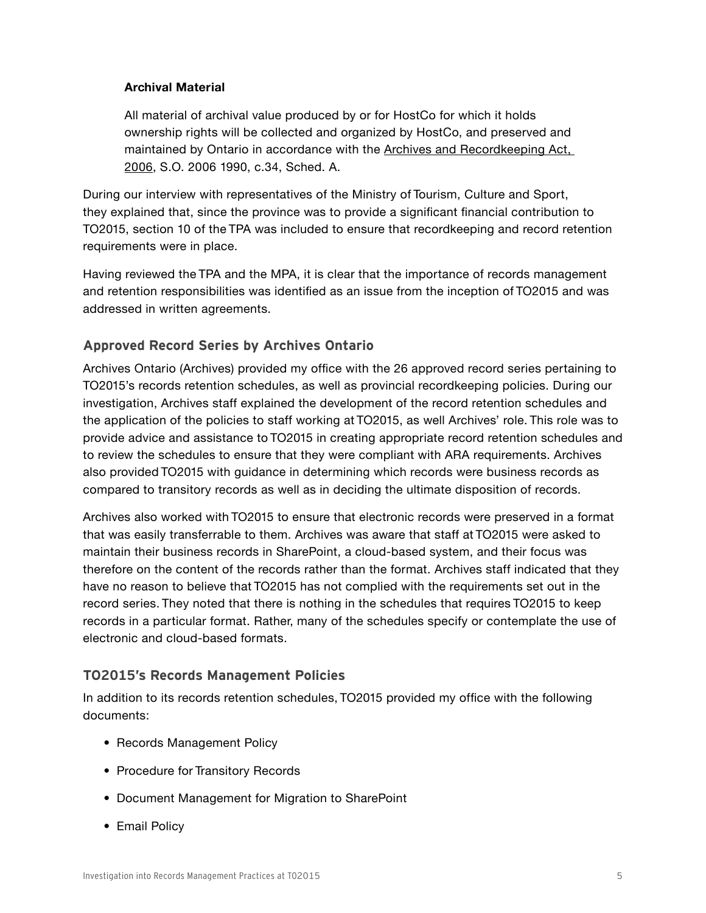#### **Archival Material**

All material of archival value produced by or for HostCo for which it holds ownership rights will be collected and organized by HostCo, and preserved and maintained by Ontario in accordance with the Archives and Recordkeeping Act, 2006, S.O. 2006 1990, c.34, Sched. A.

During our interview with representatives of the Ministry of Tourism, Culture and Sport, they explained that, since the province was to provide a significant financial contribution to TO2015, section 10 of the TPA was included to ensure that recordkeeping and record retention requirements were in place.

Having reviewed the TPA and the MPA, it is clear that the importance of records management and retention responsibilities was identified as an issue from the inception of TO2015 and was addressed in written agreements.

#### **Approved Record Series by Archives Ontario**

Archives Ontario (Archives) provided my office with the 26 approved record series pertaining to TO2015's records retention schedules, as well as provincial recordkeeping policies. During our investigation, Archives staff explained the development of the record retention schedules and the application of the policies to staff working at TO2015, as well Archives' role. This role was to provide advice and assistance to TO2015 in creating appropriate record retention schedules and to review the schedules to ensure that they were compliant with ARA requirements. Archives also provided TO2015 with guidance in determining which records were business records as compared to transitory records as well as in deciding the ultimate disposition of records.

Archives also worked with TO2015 to ensure that electronic records were preserved in a format that was easily transferrable to them. Archives was aware that staff at TO2015 were asked to maintain their business records in SharePoint, a cloud-based system, and their focus was therefore on the content of the records rather than the format. Archives staff indicated that they have no reason to believe that TO2015 has not complied with the requirements set out in the record series. They noted that there is nothing in the schedules that requires TO2015 to keep records in a particular format. Rather, many of the schedules specify or contemplate the use of electronic and cloud-based formats.

#### **TO2015's Records Management Policies**

In addition to its records retention schedules, TO2015 provided my office with the following documents:

- Records Management Policy
- Procedure for Transitory Records
- Document Management for Migration to SharePoint
- Email Policy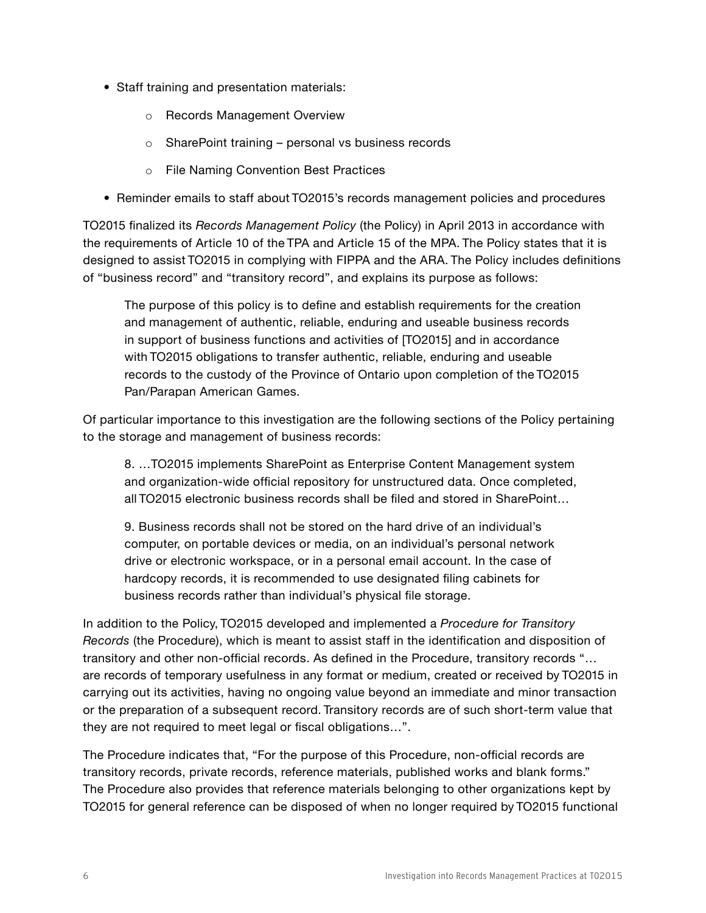- Staff training and presentation materials:
	- o Records Management Overview
	- o SharePoint training personal vs business records
	- o File Naming Convention Best Practices
- Reminder emails to staff about TO2015's records management policies and procedures

TO2015 finalized its *Records Management Policy* (the Policy) in April 2013 in accordance with the requirements of Article 10 of the TPA and Article 15 of the MPA. The Policy states that it is designed to assist TO2015 in complying with FIPPA and the ARA. The Policy includes definitions of "business record" and "transitory record", and explains its purpose as follows:

The purpose of this policy is to define and establish requirements for the creation and management of authentic, reliable, enduring and useable business records in support of business functions and activities of [TO2015] and in accordance with TO2015 obligations to transfer authentic, reliable, enduring and useable records to the custody of the Province of Ontario upon completion of the TO2015 Pan/Parapan American Games.

Of particular importance to this investigation are the following sections of the Policy pertaining to the storage and management of business records:

8. …TO2015 implements SharePoint as Enterprise Content Management system and organization-wide official repository for unstructured data. Once completed, all TO2015 electronic business records shall be filed and stored in SharePoint…

9. Business records shall not be stored on the hard drive of an individual's computer, on portable devices or media, on an individual's personal network drive or electronic workspace, or in a personal email account. In the case of hardcopy records, it is recommended to use designated filing cabinets for business records rather than individual's physical file storage.

In addition to the Policy, TO2015 developed and implemented a *Procedure for Transitory Records* (the Procedure), which is meant to assist staff in the identification and disposition of transitory and other non-official records. As defined in the Procedure, transitory records "… are records of temporary usefulness in any format or medium, created or received by TO2015 in carrying out its activities, having no ongoing value beyond an immediate and minor transaction or the preparation of a subsequent record. Transitory records are of such short-term value that they are not required to meet legal or fiscal obligations…".

The Procedure indicates that, "For the purpose of this Procedure, non-official records are transitory records, private records, reference materials, published works and blank forms." The Procedure also provides that reference materials belonging to other organizations kept by TO2015 for general reference can be disposed of when no longer required by TO2015 functional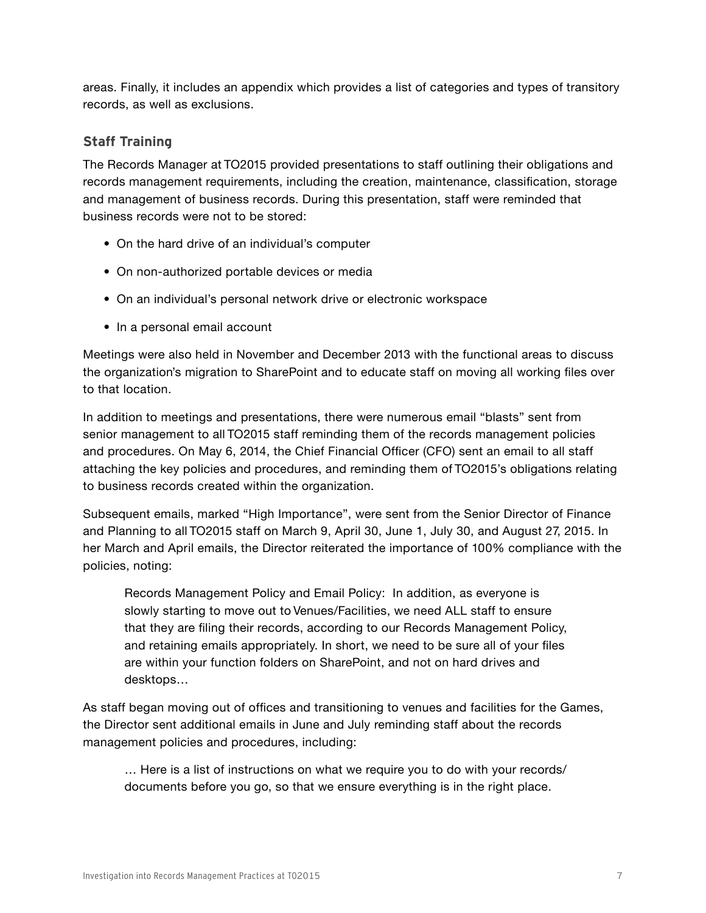areas. Finally, it includes an appendix which provides a list of categories and types of transitory records, as well as exclusions.

#### **Staff Training**

The Records Manager at TO2015 provided presentations to staff outlining their obligations and records management requirements, including the creation, maintenance, classification, storage and management of business records. During this presentation, staff were reminded that business records were not to be stored:

- On the hard drive of an individual's computer
- On non-authorized portable devices or media
- On an individual's personal network drive or electronic workspace
- In a personal email account

Meetings were also held in November and December 2013 with the functional areas to discuss the organization's migration to SharePoint and to educate staff on moving all working files over to that location.

In addition to meetings and presentations, there were numerous email "blasts" sent from senior management to all TO2015 staff reminding them of the records management policies and procedures. On May 6, 2014, the Chief Financial Officer (CFO) sent an email to all staff attaching the key policies and procedures, and reminding them of TO2015's obligations relating to business records created within the organization.

Subsequent emails, marked "High Importance", were sent from the Senior Director of Finance and Planning to all TO2015 staff on March 9, April 30, June 1, July 30, and August 27, 2015. In her March and April emails, the Director reiterated the importance of 100% compliance with the policies, noting:

Records Management Policy and Email Policy: In addition, as everyone is slowly starting to move out to Venues/Facilities, we need ALL staff to ensure that they are filing their records, according to our Records Management Policy, and retaining emails appropriately. In short, we need to be sure all of your files are within your function folders on SharePoint, and not on hard drives and desktops…

As staff began moving out of offices and transitioning to venues and facilities for the Games, the Director sent additional emails in June and July reminding staff about the records management policies and procedures, including:

… Here is a list of instructions on what we require you to do with your records/ documents before you go, so that we ensure everything is in the right place.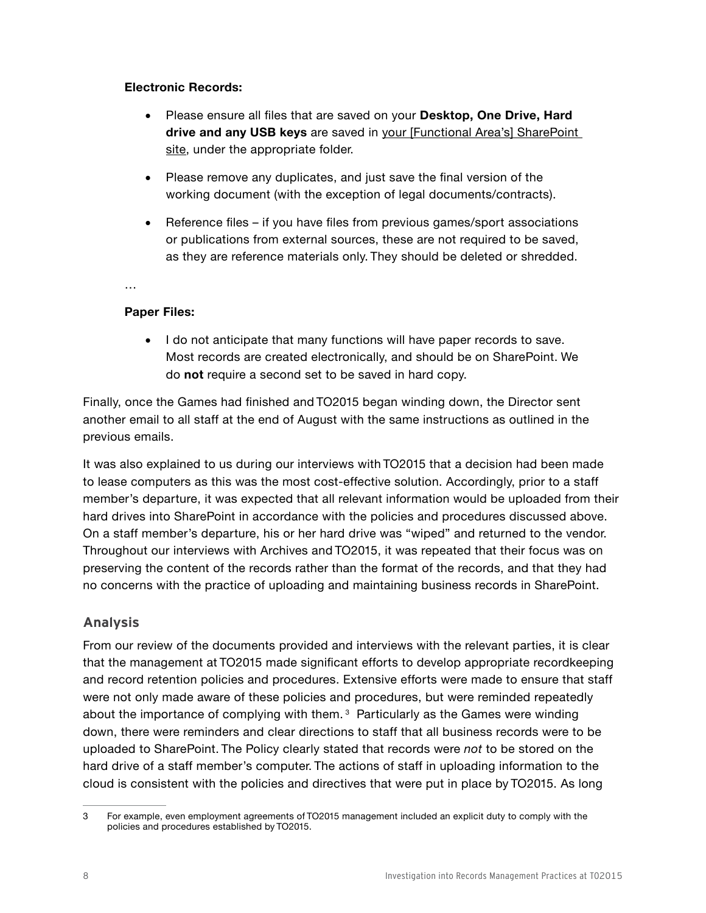#### **Electronic Records:**

- • Please ensure all files that are saved on your **Desktop, One Drive, Hard**  drive and any USB keys are saved in your [Functional Area's] SharePoint site, under the appropriate folder.
- Please remove any duplicates, and just save the final version of the working document (with the exception of legal documents/contracts).
- Reference files if you have files from previous games/sport associations or publications from external sources, these are not required to be saved, as they are reference materials only. They should be deleted or shredded.

…

#### **Paper Files:**

• I do not anticipate that many functions will have paper records to save. Most records are created electronically, and should be on SharePoint. We do **not** require a second set to be saved in hard copy.

Finally, once the Games had finished and TO2015 began winding down, the Director sent another email to all staff at the end of August with the same instructions as outlined in the previous emails.

It was also explained to us during our interviews with TO2015 that a decision had been made to lease computers as this was the most cost-effective solution. Accordingly, prior to a staff member's departure, it was expected that all relevant information would be uploaded from their hard drives into SharePoint in accordance with the policies and procedures discussed above. On a staff member's departure, his or her hard drive was "wiped" and returned to the vendor. Throughout our interviews with Archives and TO2015, it was repeated that their focus was on preserving the content of the records rather than the format of the records, and that they had no concerns with the practice of uploading and maintaining business records in SharePoint.

#### **Analysis**

From our review of the documents provided and interviews with the relevant parties, it is clear that the management at TO2015 made significant efforts to develop appropriate recordkeeping and record retention policies and procedures. Extensive efforts were made to ensure that staff were not only made aware of these policies and procedures, but were reminded repeatedly about the importance of complying with them. 3 Particularly as the Games were winding down, there were reminders and clear directions to staff that all business records were to be uploaded to SharePoint. The Policy clearly stated that records were *not* to be stored on the hard drive of a staff member's computer. The actions of staff in uploading information to the cloud is consistent with the policies and directives that were put in place by TO2015. As long

<sup>3</sup> For example, even employment agreements of TO2015 management included an explicit duty to comply with the policies and procedures established by TO2015.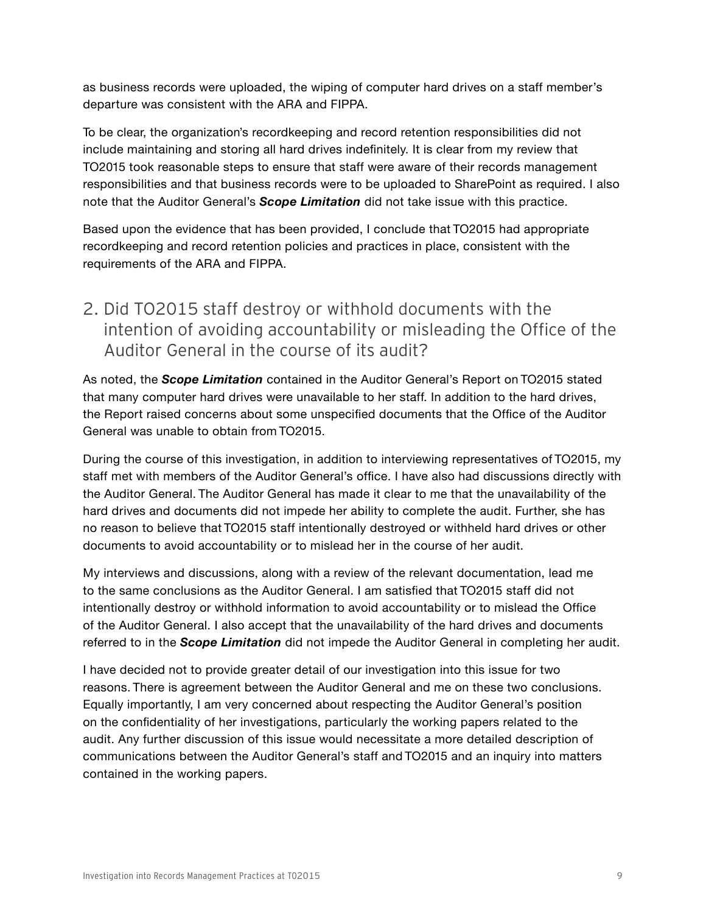as business records were uploaded, the wiping of computer hard drives on a staff member's departure was consistent with the ARA and FIPPA.

To be clear, the organization's recordkeeping and record retention responsibilities did not include maintaining and storing all hard drives indefinitely. It is clear from my review that TO2015 took reasonable steps to ensure that staff were aware of their records management responsibilities and that business records were to be uploaded to SharePoint as required. I also note that the Auditor General's *Scope Limitation* did not take issue with this practice.

Based upon the evidence that has been provided, I conclude that TO2015 had appropriate recordkeeping and record retention policies and practices in place, consistent with the requirements of the ARA and FIPPA.

### 2. Did TO2015 staff destroy or withhold documents with the intention of avoiding accountability or misleading the Office of the Auditor General in the course of its audit?

As noted, the *Scope Limitation* contained in the Auditor General's Report on TO2015 stated that many computer hard drives were unavailable to her staff. In addition to the hard drives, the Report raised concerns about some unspecified documents that the Office of the Auditor General was unable to obtain from TO2015.

During the course of this investigation, in addition to interviewing representatives of TO2015, my staff met with members of the Auditor General's office. I have also had discussions directly with the Auditor General. The Auditor General has made it clear to me that the unavailability of the hard drives and documents did not impede her ability to complete the audit. Further, she has no reason to believe that TO2015 staff intentionally destroyed or withheld hard drives or other documents to avoid accountability or to mislead her in the course of her audit.

My interviews and discussions, along with a review of the relevant documentation, lead me to the same conclusions as the Auditor General. I am satisfied that TO2015 staff did not intentionally destroy or withhold information to avoid accountability or to mislead the Office of the Auditor General. I also accept that the unavailability of the hard drives and documents referred to in the *Scope Limitation* did not impede the Auditor General in completing her audit.

I have decided not to provide greater detail of our investigation into this issue for two reasons. There is agreement between the Auditor General and me on these two conclusions. Equally importantly, I am very concerned about respecting the Auditor General's position on the confidentiality of her investigations, particularly the working papers related to the audit. Any further discussion of this issue would necessitate a more detailed description of communications between the Auditor General's staff and TO2015 and an inquiry into matters contained in the working papers.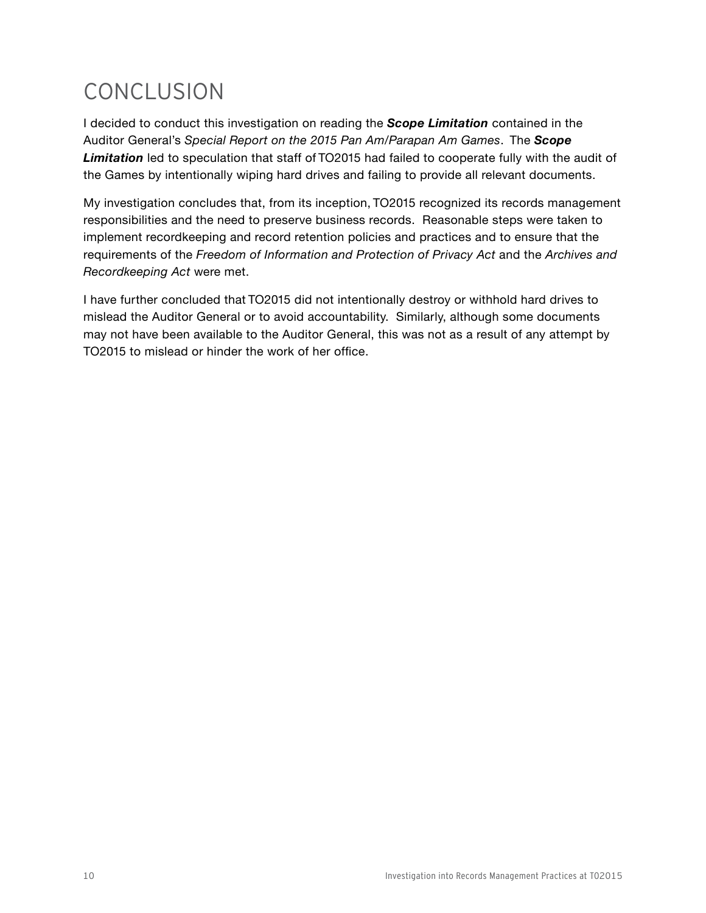# CONCLUSION

I decided to conduct this investigation on reading the *Scope Limitation* contained in the Auditor General's *Special Report on the 2015 Pan Am/Parapan Am Games*. The *Scope Limitation* led to speculation that staff of TO2015 had failed to cooperate fully with the audit of the Games by intentionally wiping hard drives and failing to provide all relevant documents.

My investigation concludes that, from its inception, TO2015 recognized its records management responsibilities and the need to preserve business records. Reasonable steps were taken to implement recordkeeping and record retention policies and practices and to ensure that the requirements of the *Freedom of Information and Protection of Privacy Act* and the *Archives and Recordkeeping Act* were met.

I have further concluded that TO2015 did not intentionally destroy or withhold hard drives to mislead the Auditor General or to avoid accountability. Similarly, although some documents may not have been available to the Auditor General, this was not as a result of any attempt by TO2015 to mislead or hinder the work of her office.